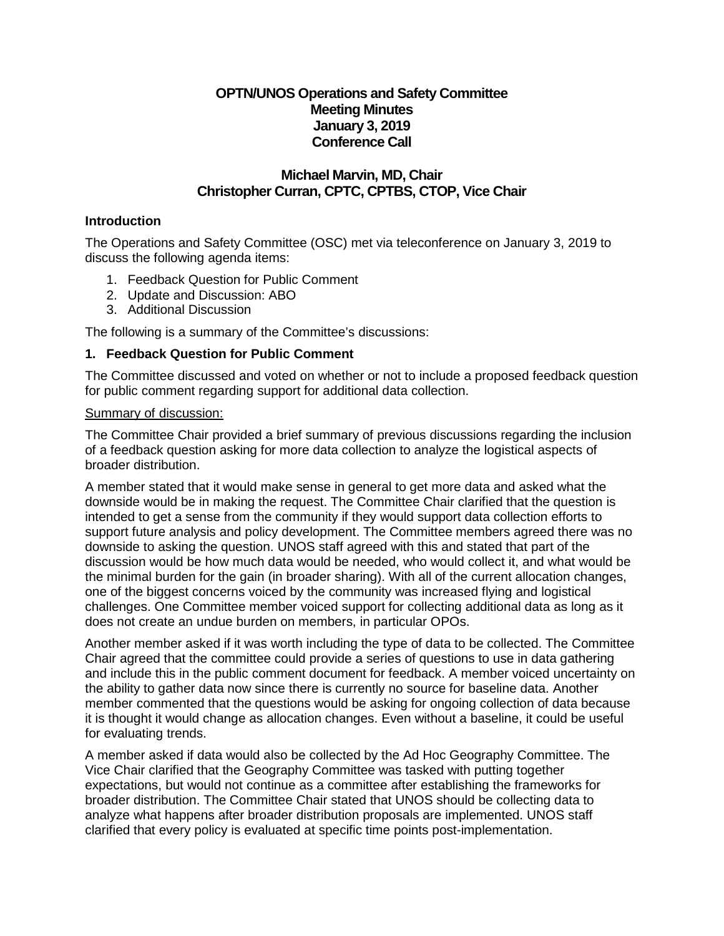# **OPTN/UNOS Operations and Safety Committee Meeting Minutes January 3, 2019 Conference Call**

## **Michael Marvin, MD, Chair Christopher Curran, CPTC, CPTBS, CTOP, Vice Chair**

## **Introduction**

The Operations and Safety Committee (OSC) met via teleconference on January 3, 2019 to discuss the following agenda items:

- 1. Feedback Question for Public Comment
- 2. Update and Discussion: ABO
- 3. Additional Discussion

The following is a summary of the Committee's discussions:

## **1. Feedback Question for Public Comment**

The Committee discussed and voted on whether or not to include a proposed feedback question for public comment regarding support for additional data collection.

#### Summary of discussion:

The Committee Chair provided a brief summary of previous discussions regarding the inclusion of a feedback question asking for more data collection to analyze the logistical aspects of broader distribution.

A member stated that it would make sense in general to get more data and asked what the downside would be in making the request. The Committee Chair clarified that the question is intended to get a sense from the community if they would support data collection efforts to support future analysis and policy development. The Committee members agreed there was no downside to asking the question. UNOS staff agreed with this and stated that part of the discussion would be how much data would be needed, who would collect it, and what would be the minimal burden for the gain (in broader sharing). With all of the current allocation changes, one of the biggest concerns voiced by the community was increased flying and logistical challenges. One Committee member voiced support for collecting additional data as long as it does not create an undue burden on members, in particular OPOs.

Another member asked if it was worth including the type of data to be collected. The Committee Chair agreed that the committee could provide a series of questions to use in data gathering and include this in the public comment document for feedback. A member voiced uncertainty on the ability to gather data now since there is currently no source for baseline data. Another member commented that the questions would be asking for ongoing collection of data because it is thought it would change as allocation changes. Even without a baseline, it could be useful for evaluating trends.

A member asked if data would also be collected by the Ad Hoc Geography Committee. The Vice Chair clarified that the Geography Committee was tasked with putting together expectations, but would not continue as a committee after establishing the frameworks for broader distribution. The Committee Chair stated that UNOS should be collecting data to analyze what happens after broader distribution proposals are implemented. UNOS staff clarified that every policy is evaluated at specific time points post-implementation.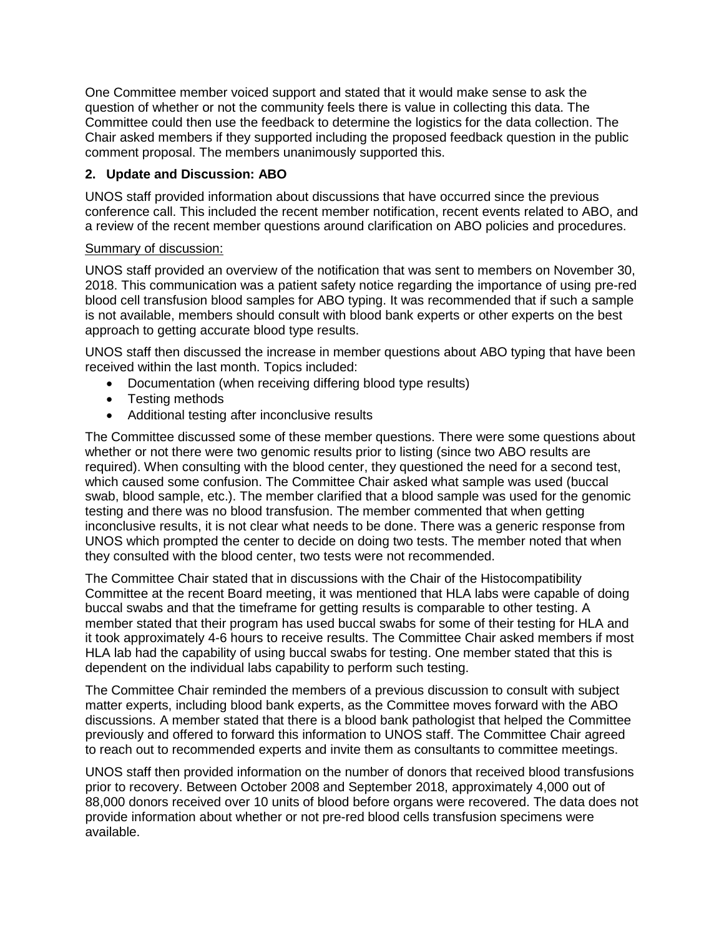One Committee member voiced support and stated that it would make sense to ask the question of whether or not the community feels there is value in collecting this data. The Committee could then use the feedback to determine the logistics for the data collection. The Chair asked members if they supported including the proposed feedback question in the public comment proposal. The members unanimously supported this.

## **2. Update and Discussion: ABO**

UNOS staff provided information about discussions that have occurred since the previous conference call. This included the recent member notification, recent events related to ABO, and a review of the recent member questions around clarification on ABO policies and procedures.

## Summary of discussion:

UNOS staff provided an overview of the notification that was sent to members on November 30, 2018. This communication was a patient safety notice regarding the importance of using pre-red blood cell transfusion blood samples for ABO typing. It was recommended that if such a sample is not available, members should consult with blood bank experts or other experts on the best approach to getting accurate blood type results.

UNOS staff then discussed the increase in member questions about ABO typing that have been received within the last month. Topics included:

- Documentation (when receiving differing blood type results)
- Testing methods
- Additional testing after inconclusive results

The Committee discussed some of these member questions. There were some questions about whether or not there were two genomic results prior to listing (since two ABO results are required). When consulting with the blood center, they questioned the need for a second test, which caused some confusion. The Committee Chair asked what sample was used (buccal swab, blood sample, etc.). The member clarified that a blood sample was used for the genomic testing and there was no blood transfusion. The member commented that when getting inconclusive results, it is not clear what needs to be done. There was a generic response from UNOS which prompted the center to decide on doing two tests. The member noted that when they consulted with the blood center, two tests were not recommended.

The Committee Chair stated that in discussions with the Chair of the Histocompatibility Committee at the recent Board meeting, it was mentioned that HLA labs were capable of doing buccal swabs and that the timeframe for getting results is comparable to other testing. A member stated that their program has used buccal swabs for some of their testing for HLA and it took approximately 4-6 hours to receive results. The Committee Chair asked members if most HLA lab had the capability of using buccal swabs for testing. One member stated that this is dependent on the individual labs capability to perform such testing.

The Committee Chair reminded the members of a previous discussion to consult with subject matter experts, including blood bank experts, as the Committee moves forward with the ABO discussions. A member stated that there is a blood bank pathologist that helped the Committee previously and offered to forward this information to UNOS staff. The Committee Chair agreed to reach out to recommended experts and invite them as consultants to committee meetings.

UNOS staff then provided information on the number of donors that received blood transfusions prior to recovery. Between October 2008 and September 2018, approximately 4,000 out of 88,000 donors received over 10 units of blood before organs were recovered. The data does not provide information about whether or not pre-red blood cells transfusion specimens were available.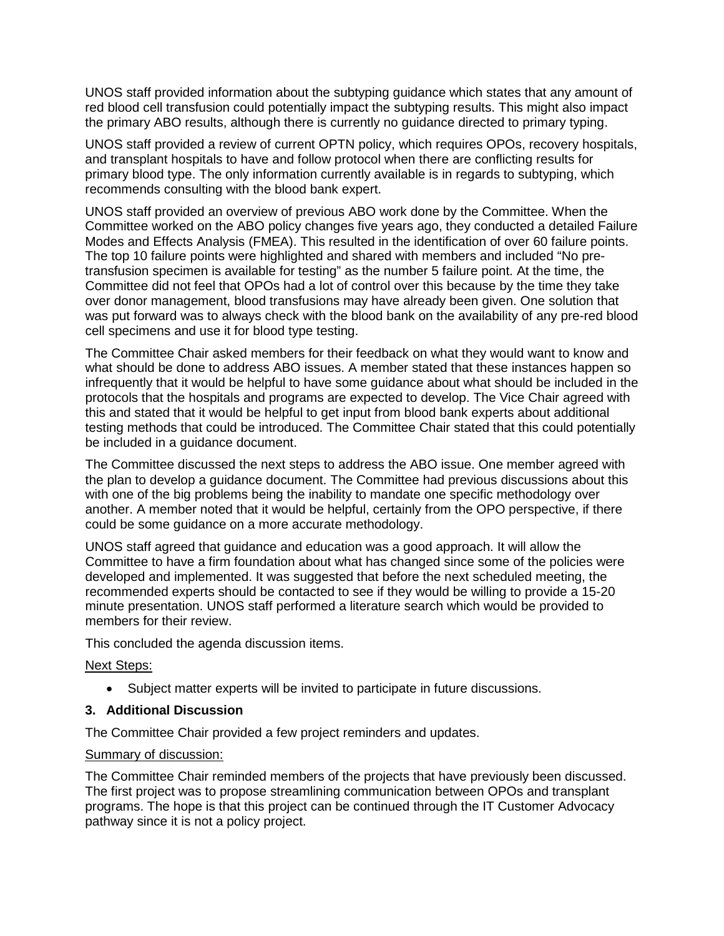UNOS staff provided information about the subtyping guidance which states that any amount of red blood cell transfusion could potentially impact the subtyping results. This might also impact the primary ABO results, although there is currently no guidance directed to primary typing.

UNOS staff provided a review of current OPTN policy, which requires OPOs, recovery hospitals, and transplant hospitals to have and follow protocol when there are conflicting results for primary blood type. The only information currently available is in regards to subtyping, which recommends consulting with the blood bank expert.

UNOS staff provided an overview of previous ABO work done by the Committee. When the Committee worked on the ABO policy changes five years ago, they conducted a detailed Failure Modes and Effects Analysis (FMEA). This resulted in the identification of over 60 failure points. The top 10 failure points were highlighted and shared with members and included "No pretransfusion specimen is available for testing" as the number 5 failure point. At the time, the Committee did not feel that OPOs had a lot of control over this because by the time they take over donor management, blood transfusions may have already been given. One solution that was put forward was to always check with the blood bank on the availability of any pre-red blood cell specimens and use it for blood type testing.

The Committee Chair asked members for their feedback on what they would want to know and what should be done to address ABO issues. A member stated that these instances happen so infrequently that it would be helpful to have some guidance about what should be included in the protocols that the hospitals and programs are expected to develop. The Vice Chair agreed with this and stated that it would be helpful to get input from blood bank experts about additional testing methods that could be introduced. The Committee Chair stated that this could potentially be included in a guidance document.

The Committee discussed the next steps to address the ABO issue. One member agreed with the plan to develop a guidance document. The Committee had previous discussions about this with one of the big problems being the inability to mandate one specific methodology over another. A member noted that it would be helpful, certainly from the OPO perspective, if there could be some guidance on a more accurate methodology.

UNOS staff agreed that guidance and education was a good approach. It will allow the Committee to have a firm foundation about what has changed since some of the policies were developed and implemented. It was suggested that before the next scheduled meeting, the recommended experts should be contacted to see if they would be willing to provide a 15-20 minute presentation. UNOS staff performed a literature search which would be provided to members for their review.

This concluded the agenda discussion items.

## Next Steps:

• Subject matter experts will be invited to participate in future discussions.

## **3. Additional Discussion**

The Committee Chair provided a few project reminders and updates.

#### Summary of discussion:

The Committee Chair reminded members of the projects that have previously been discussed. The first project was to propose streamlining communication between OPOs and transplant programs. The hope is that this project can be continued through the IT Customer Advocacy pathway since it is not a policy project.